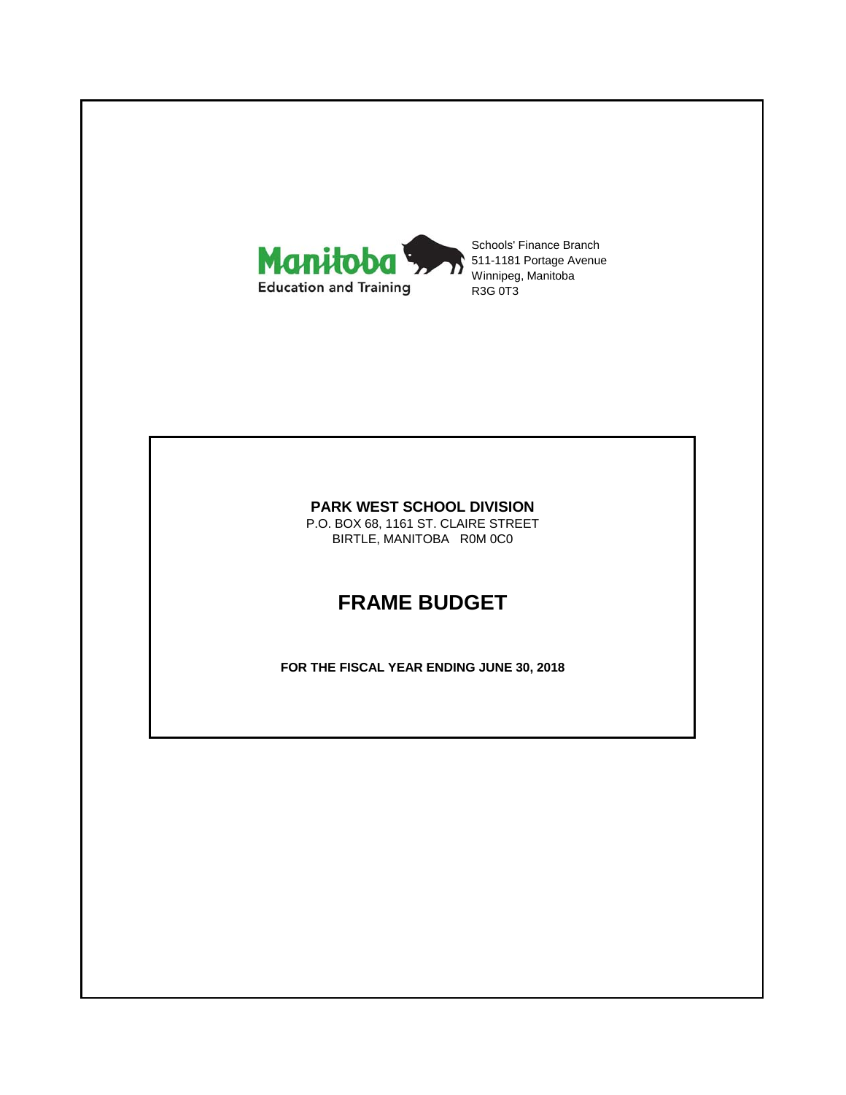

Schools' Finance Branch 511-1181 Portage Avenue Winnipeg, Manitoba R3G 0T3

#### **PARK WEST SCHOOL DIVISION**

P.O. BOX 68, 1161 ST. CLAIRE STREET BIRTLE, MANITOBA R0M 0C0

# **FRAME BUDGET**

**FOR THE FISCAL YEAR ENDING JUNE 30, 2018**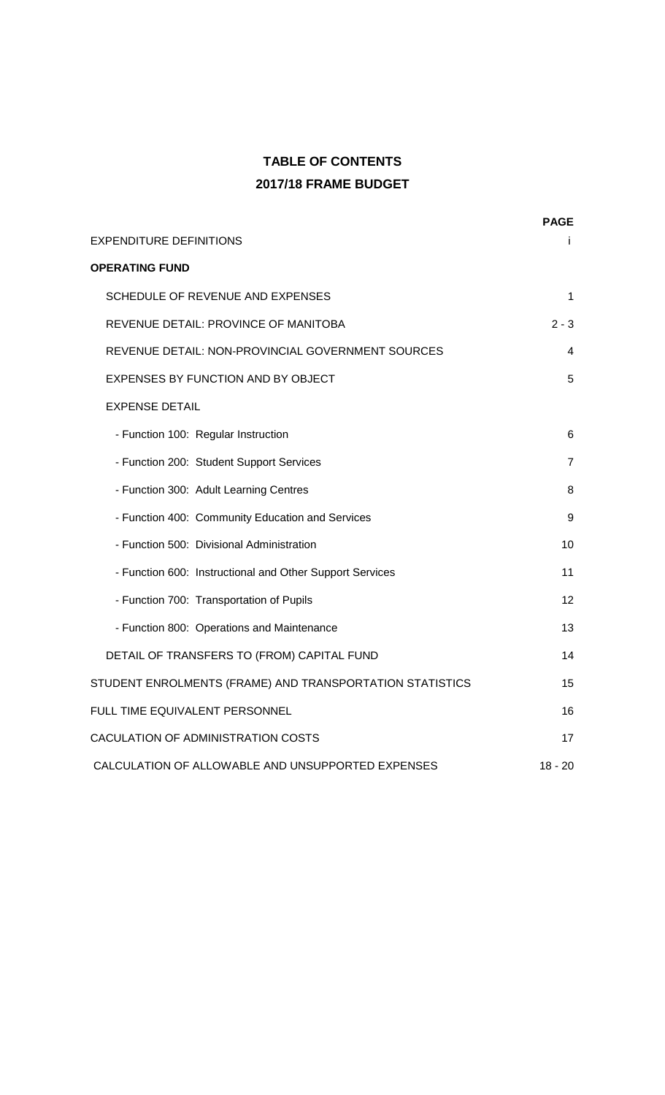# **TABLE OF CONTENTS 2017/18 FRAME BUDGET**

|                                                          | <b>PAGE</b> |
|----------------------------------------------------------|-------------|
| EXPENDITURE DEFINITIONS                                  |             |
| <b>OPERATING FUND</b>                                    |             |
| SCHEDULE OF REVENUE AND EXPENSES                         | 1           |
| REVENUE DETAIL: PROVINCE OF MANITOBA                     | $2 - 3$     |
| REVENUE DETAIL: NON-PROVINCIAL GOVERNMENT SOURCES        | 4           |
| EXPENSES BY FUNCTION AND BY OBJECT                       | 5           |
| <b>EXPENSE DETAIL</b>                                    |             |
| - Function 100: Regular Instruction                      | 6           |
| - Function 200: Student Support Services                 | 7           |
| - Function 300: Adult Learning Centres                   | 8           |
| - Function 400: Community Education and Services         | 9           |
| - Function 500: Divisional Administration                | 10          |
| - Function 600: Instructional and Other Support Services | 11          |
| - Function 700: Transportation of Pupils                 | 12          |
| - Function 800: Operations and Maintenance               | 13          |
| DETAIL OF TRANSFERS TO (FROM) CAPITAL FUND               | 14          |
| STUDENT ENROLMENTS (FRAME) AND TRANSPORTATION STATISTICS | 15          |
| FULL TIME EQUIVALENT PERSONNEL                           | 16          |
| CACULATION OF ADMINISTRATION COSTS                       | 17          |
| CALCULATION OF ALLOWABLE AND UNSUPPORTED EXPENSES        | $18 - 20$   |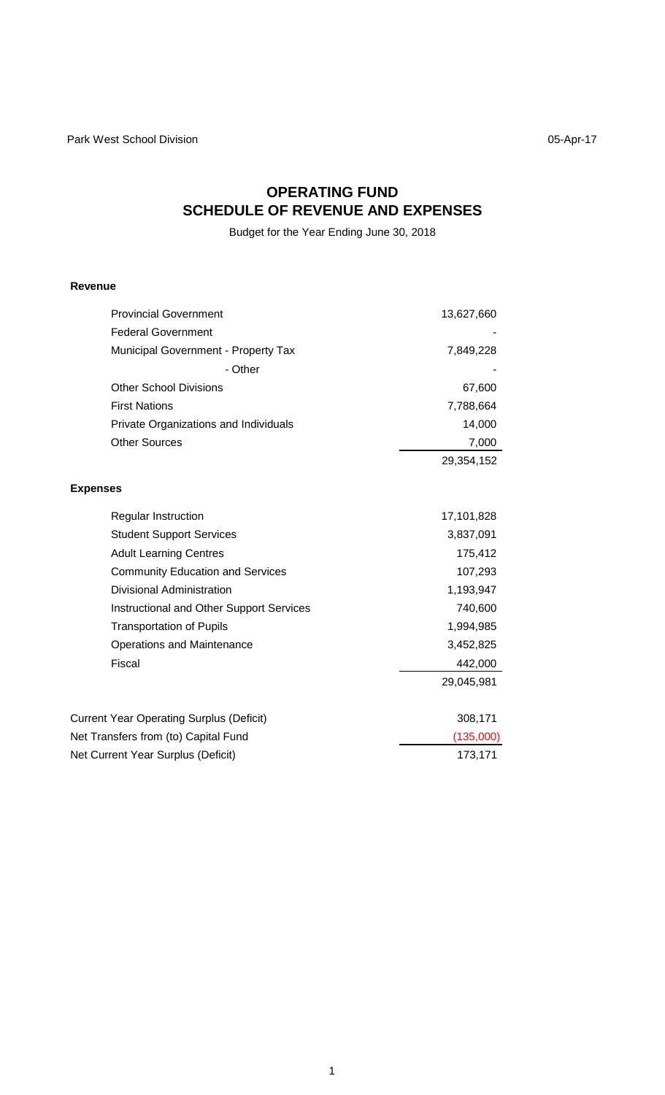# **OPERATING FUND SCHEDULE OF REVENUE AND EXPENSES**

Budget for the Year Ending June 30, 2018

### **Revenue**

| <b>Provincial Government</b>                    | 13,627,660 |
|-------------------------------------------------|------------|
| <b>Federal Government</b>                       |            |
| Municipal Government - Property Tax             | 7,849,228  |
| - Other                                         |            |
| <b>Other School Divisions</b>                   | 67,600     |
| <b>First Nations</b>                            | 7,788,664  |
| Private Organizations and Individuals           | 14,000     |
| <b>Other Sources</b>                            | 7,000      |
|                                                 | 29,354,152 |
| <b>Expenses</b>                                 |            |
| Regular Instruction                             | 17,101,828 |
| <b>Student Support Services</b>                 | 3,837,091  |
| <b>Adult Learning Centres</b>                   | 175,412    |
| <b>Community Education and Services</b>         | 107,293    |
| <b>Divisional Administration</b>                | 1,193,947  |
| <b>Instructional and Other Support Services</b> | 740,600    |
| <b>Transportation of Pupils</b>                 | 1,994,985  |
| <b>Operations and Maintenance</b>               | 3,452,825  |
| Fiscal                                          | 442,000    |
|                                                 | 29,045,981 |
| <b>Current Year Operating Surplus (Deficit)</b> | 308,171    |
| Net Transfers from (to) Capital Fund            | (135,000)  |
| Net Current Year Surplus (Deficit)              | 173,171    |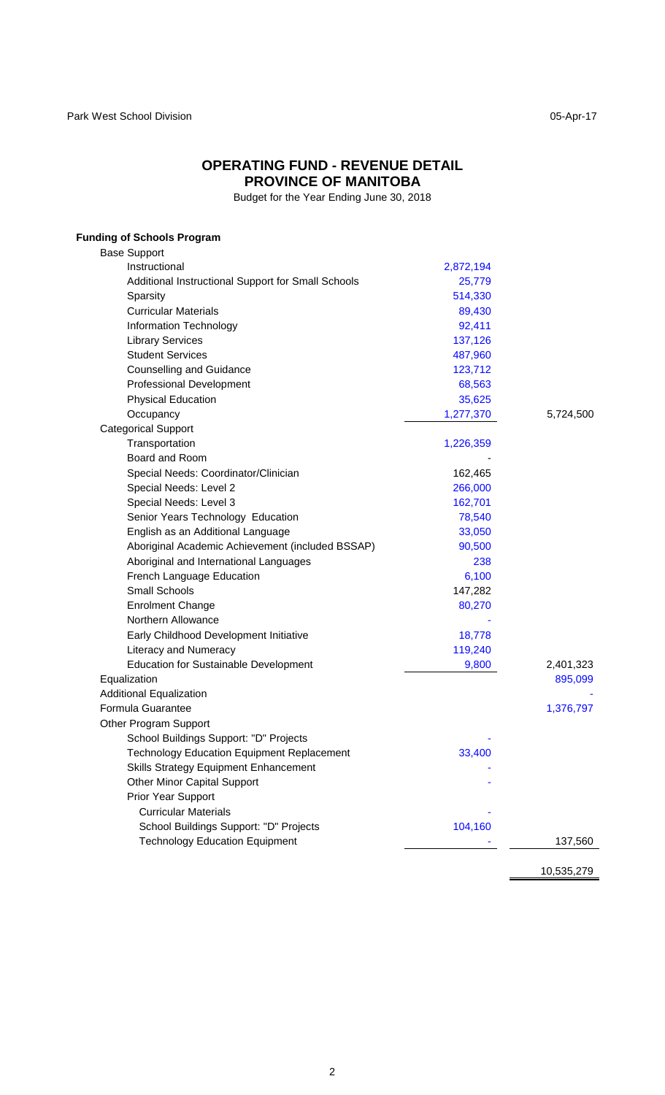#### **OPERATING FUND - REVENUE DETAIL PROVINCE OF MANITOBA**

Budget for the Year Ending June 30, 2018

### **Funding of Schools Program** Base Support Instructional 2,872,194 Additional Instructional Support for Small Schools 25,779 Sparsity 514,330 Curricular Materials 89,430 Information Technology 82,411 Library Services 137,126 Student Services 487,960 Counselling and Guidance 123,712 Professional Development 68,563 Physical Education 35,625 Occupancy 6,724,500 Categorical Support Transportation 1,226,359 Board and Room Special Needs: Coordinator/Clinician 162,465 Special Needs: Level 2 266,000 Special Needs: Level 3 162,701 Senior Years Technology Education 78,540 English as an Additional Language 33,050 Aboriginal Academic Achievement (included BSSAP) 90,500 Aboriginal and International Languages 238 French Language Education 6,100 Small Schools 147,282 Enrolment Change 80,270 Northern Allowance Early Childhood Development Initiative 18,778 Literacy and Numeracy **119,240** Education for Sustainable Development 9,800 2,401,323 Equalization 895,099 Additional Equalization Formula Guarantee 1,376,797 Other Program Support School Buildings Support: "D" Projects Technology Education Equipment Replacement 33,400 Skills Strategy Equipment Enhancement Other Minor Capital Support Prior Year Support Curricular Materials - School Buildings Support: "D" Projects 104,160 Technology Education Equipment 137,560

10,535,279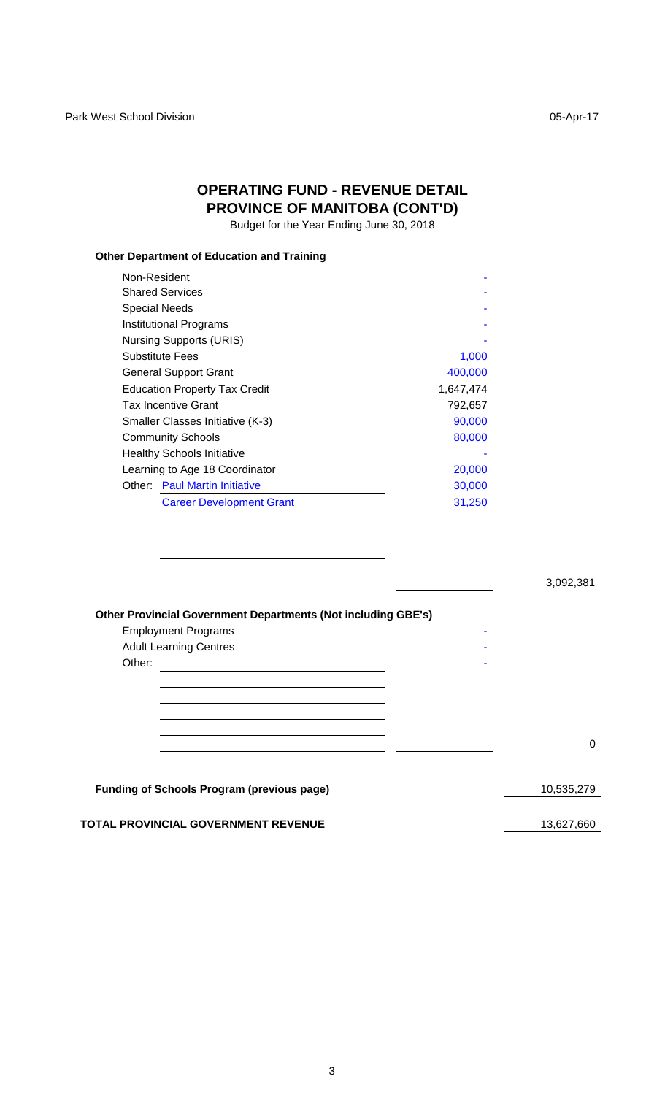# **OPERATING FUND - REVENUE DETAIL PROVINCE OF MANITOBA (CONT'D)**

Budget for the Year Ending June 30, 2018

### **Other Department of Education and Training**

|        | Non-Resident                                                  |           |            |
|--------|---------------------------------------------------------------|-----------|------------|
|        | <b>Shared Services</b>                                        |           |            |
|        | <b>Special Needs</b>                                          |           |            |
|        | <b>Institutional Programs</b>                                 |           |            |
|        | <b>Nursing Supports (URIS)</b>                                |           |            |
|        | <b>Substitute Fees</b>                                        | 1,000     |            |
|        | <b>General Support Grant</b>                                  | 400,000   |            |
|        | <b>Education Property Tax Credit</b>                          | 1,647,474 |            |
|        | <b>Tax Incentive Grant</b>                                    | 792,657   |            |
|        | Smaller Classes Initiative (K-3)                              | 90,000    |            |
|        | <b>Community Schools</b>                                      | 80,000    |            |
|        | <b>Healthy Schools Initiative</b>                             |           |            |
|        | Learning to Age 18 Coordinator                                | 20,000    |            |
|        | <b>Other: Paul Martin Initiative</b>                          | 30,000    |            |
|        | <b>Career Development Grant</b>                               | 31,250    |            |
|        | Other Provincial Government Departments (Not including GBE's) |           | 3,092,381  |
|        | <b>Employment Programs</b>                                    |           |            |
|        | <b>Adult Learning Centres</b>                                 |           |            |
| Other: |                                                               |           |            |
|        |                                                               |           |            |
|        |                                                               |           |            |
|        |                                                               |           |            |
|        |                                                               |           |            |
|        |                                                               |           | 0          |
|        |                                                               |           |            |
|        | <b>Funding of Schools Program (previous page)</b>             |           | 10,535,279 |
|        | <b>TOTAL PROVINCIAL GOVERNMENT REVENUE</b>                    |           | 13,627,660 |
|        |                                                               |           |            |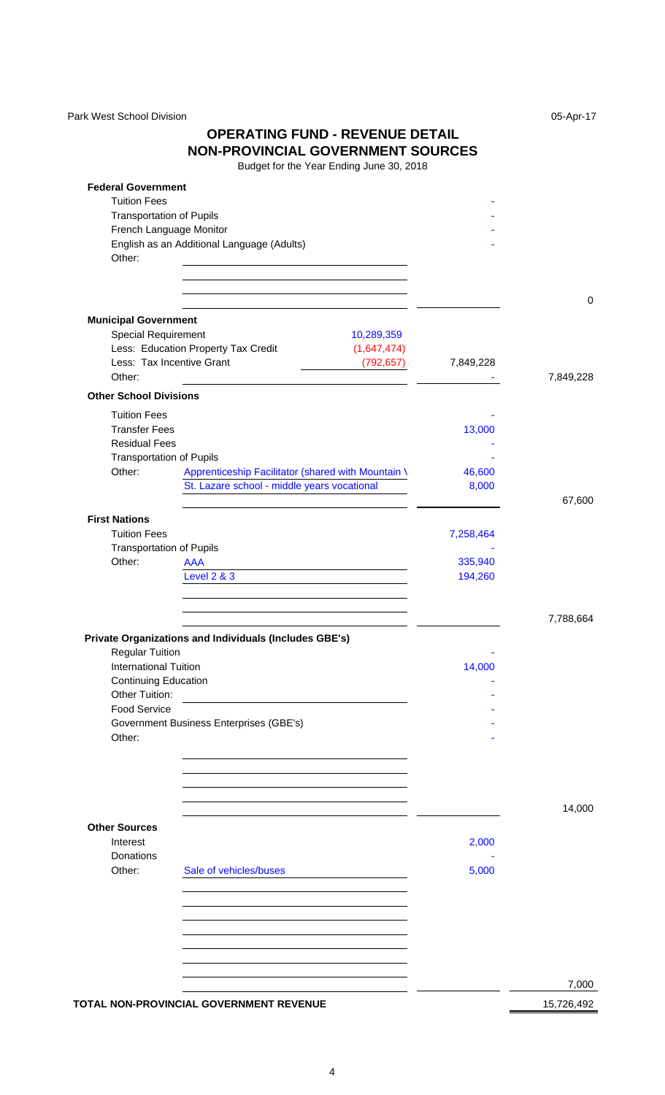Park West School Division **Division** 05-Apr-17

### **OPERATING FUND - REVENUE DETAIL NON-PROVINCIAL GOVERNMENT SOURCES**

| <b>Federal Government</b><br><b>Tuition Fees</b>                                                                     |           |             |
|----------------------------------------------------------------------------------------------------------------------|-----------|-------------|
| <b>Transportation of Pupils</b>                                                                                      |           |             |
| French Language Monitor                                                                                              |           |             |
| English as an Additional Language (Adults)                                                                           |           |             |
| Other:                                                                                                               |           |             |
| <u> 1989 - Johann Barn, mars ar breithinn ar chuid ann an t-Alban ann an t-Alban ann an t-Alban ann an t-Alban a</u> |           |             |
|                                                                                                                      |           |             |
|                                                                                                                      |           | $\mathbf 0$ |
| <b>Municipal Government</b>                                                                                          |           |             |
| Special Requirement<br>10,289,359                                                                                    |           |             |
| Less: Education Property Tax Credit<br>(1,647,474)                                                                   |           |             |
| Less: Tax Incentive Grant<br>(792,657)                                                                               | 7,849,228 |             |
| Other:                                                                                                               |           | 7,849,228   |
| <b>Other School Divisions</b>                                                                                        |           |             |
| <b>Tuition Fees</b>                                                                                                  |           |             |
| <b>Transfer Fees</b>                                                                                                 | 13,000    |             |
| <b>Residual Fees</b>                                                                                                 |           |             |
| <b>Transportation of Pupils</b><br>Other:                                                                            |           |             |
| Apprenticeship Facilitator (shared with Mountain \                                                                   | 46,600    |             |
| St. Lazare school - middle years vocational                                                                          | 8,000     | 67,600      |
| <b>First Nations</b>                                                                                                 |           |             |
| <b>Tuition Fees</b>                                                                                                  | 7,258,464 |             |
| <b>Transportation of Pupils</b>                                                                                      |           |             |
| Other:<br><b>AAA</b>                                                                                                 | 335,940   |             |
| <b>Level 2 &amp; 3</b>                                                                                               | 194,260   |             |
|                                                                                                                      |           |             |
|                                                                                                                      |           |             |
|                                                                                                                      |           | 7,788,664   |
| Private Organizations and Individuals (Includes GBE's)                                                               |           |             |
| <b>Regular Tuition</b>                                                                                               |           |             |
| International Tuition                                                                                                | 14,000    |             |
| <b>Continuing Education</b>                                                                                          |           |             |
| Other Tuition:                                                                                                       |           |             |
| <b>Food Service</b>                                                                                                  |           |             |
| Government Business Enterprises (GBE's)<br>Other:                                                                    |           |             |
|                                                                                                                      |           |             |
|                                                                                                                      |           |             |
|                                                                                                                      |           |             |
|                                                                                                                      |           |             |
|                                                                                                                      |           | 14,000      |
| <b>Other Sources</b>                                                                                                 |           |             |
| Interest                                                                                                             | 2,000     |             |
| Donations                                                                                                            |           |             |
| Other:<br>Sale of vehicles/buses                                                                                     | 5,000     |             |
|                                                                                                                      |           |             |
|                                                                                                                      |           |             |
|                                                                                                                      |           |             |
|                                                                                                                      |           |             |
|                                                                                                                      |           |             |
|                                                                                                                      |           |             |
|                                                                                                                      |           | 7,000       |
| TOTAL NON-PROVINCIAL GOVERNMENT REVENUE                                                                              |           | 15,726,492  |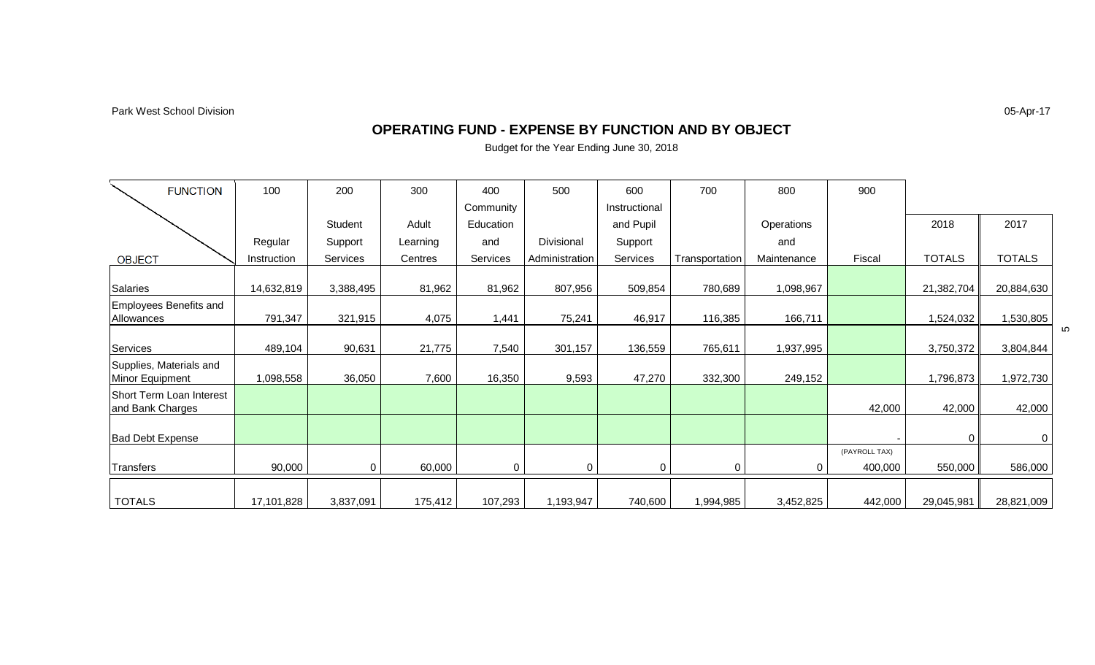Park West School Division

05-Apr-17

#### **OPERATING FUND - EXPENSE BY FUNCTION AND BY OBJECT**

| <b>FUNCTION</b>                              | 100         | 200       | 300      | 400       | 500            | 600           | 700            | 800         | 900                      |               |               |   |
|----------------------------------------------|-------------|-----------|----------|-----------|----------------|---------------|----------------|-------------|--------------------------|---------------|---------------|---|
|                                              |             |           |          | Community |                | Instructional |                |             |                          |               |               |   |
|                                              |             | Student   | Adult    | Education |                | and Pupil     |                | Operations  |                          | 2018          | 2017          |   |
|                                              | Regular     | Support   | Learning | and       | Divisional     | Support       |                | and         |                          |               |               |   |
| <b>OBJECT</b>                                | Instruction | Services  | Centres  | Services  | Administration | Services      | Transportation | Maintenance | Fiscal                   | <b>TOTALS</b> | <b>TOTALS</b> |   |
| Salaries                                     | 14,632,819  | 3,388,495 | 81,962   | 81,962    | 807,956        | 509,854       | 780,689        | 1,098,967   |                          | 21,382,704    | 20,884,630    |   |
| <b>Employees Benefits and</b><br>Allowances  | 791,347     | 321,915   | 4,075    | 1,441     | 75,241         | 46,917        | 116,385        | 166,711     |                          | 1,524,032     | 1,530,805     |   |
| Services                                     | 489,104     | 90,631    | 21,775   | 7,540     | 301,157        | 136,559       | 765,611        | 1,937,995   |                          | 3,750,372     | 3,804,844     | 5 |
| Supplies, Materials and<br>Minor Equipment   | 1,098,558   | 36,050    | 7,600    | 16,350    | 9,593          | 47,270        | 332,300        | 249,152     |                          | 1,796,873     | 1,972,730     |   |
| Short Term Loan Interest<br>and Bank Charges |             |           |          |           |                |               |                |             | 42,000                   | 42,000        | 42,000        |   |
| <b>Bad Debt Expense</b>                      |             |           |          |           |                |               |                |             |                          |               | 0             |   |
| Transfers                                    | 90,000      | 0         | 60,000   | $\Omega$  | 0              | $\Omega$      | 0              | 0           | (PAYROLL TAX)<br>400,000 | 550,000       | 586,000       |   |
| <b>TOTALS</b>                                | 17,101,828  | 3,837,091 | 175,412  | 107,293   | 1,193,947      | 740,600       | 1,994,985      | 3,452,825   | 442,000                  | 29,045,981    | 28,821,009    |   |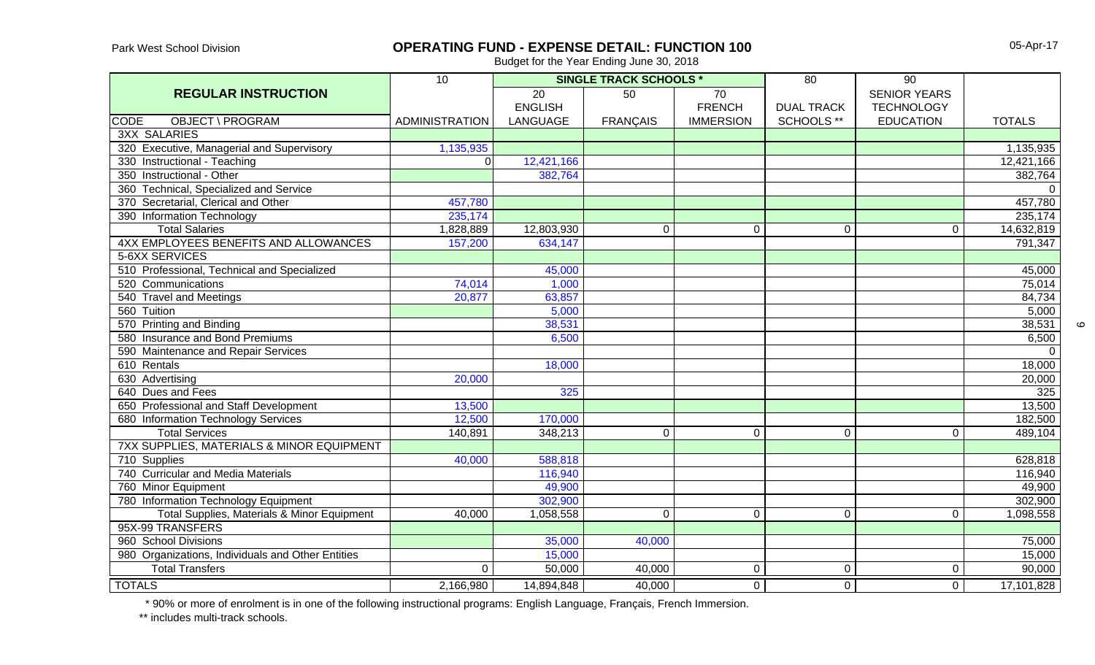Park West School Division

### **OPERATING FUND - EXPENSE DETAIL: FUNCTION 100**

Budget for the Year Ending June 30, 2018

|                                                   | 10                    | <b>SINGLE TRACK SCHOOLS *</b> |                 |                  | $\overline{80}$   | 90                  |                     |
|---------------------------------------------------|-----------------------|-------------------------------|-----------------|------------------|-------------------|---------------------|---------------------|
| <b>REGULAR INSTRUCTION</b>                        |                       | $\overline{20}$               | $\overline{50}$ | 70               |                   | <b>SENIOR YEARS</b> |                     |
|                                                   |                       | <b>ENGLISH</b>                |                 | <b>FRENCH</b>    | <b>DUAL TRACK</b> | <b>TECHNOLOGY</b>   |                     |
| <b>CODE</b><br><b>OBJECT \ PROGRAM</b>            | <b>ADMINISTRATION</b> | LANGUAGE                      | <b>FRANÇAIS</b> | <b>IMMERSION</b> | SCHOOLS **        | <b>EDUCATION</b>    | <b>TOTALS</b>       |
| <b>3XX SALARIES</b>                               |                       |                               |                 |                  |                   |                     |                     |
| 320 Executive, Managerial and Supervisory         | 1,135,935             |                               |                 |                  |                   |                     | 1,135,935           |
| 330 Instructional - Teaching                      | ΩI                    | 12,421,166                    |                 |                  |                   |                     | 12,421,166          |
| 350 Instructional - Other                         |                       | 382,764                       |                 |                  |                   |                     | 382,764             |
| 360 Technical, Specialized and Service            |                       |                               |                 |                  |                   |                     | $\overline{0}$      |
| 370 Secretarial, Clerical and Other               | 457,780               |                               |                 |                  |                   |                     | 457,780             |
| 390 Information Technology                        | 235,174               |                               |                 |                  |                   |                     | 235,174             |
| <b>Total Salaries</b>                             | 1,828,889             | 12,803,930                    | $\mathbf 0$     | $\mathbf 0$      | $\pmb{0}$         | $\mathbf 0$         | 14,632,819          |
| 4XX EMPLOYEES BENEFITS AND ALLOWANCES             | 157,200               | 634,147                       |                 |                  |                   |                     | 791,347             |
| 5-6XX SERVICES                                    |                       |                               |                 |                  |                   |                     |                     |
| 510 Professional, Technical and Specialized       |                       | 45,000                        |                 |                  |                   |                     | 45,000              |
| 520 Communications                                | 74,014                | 1,000                         |                 |                  |                   |                     | 75,014              |
| 540 Travel and Meetings                           | 20,877                | 63,857                        |                 |                  |                   |                     | 84,734              |
| 560 Tuition                                       |                       | 5,000                         |                 |                  |                   |                     | 5,000               |
| 570 Printing and Binding                          |                       | 38,531                        |                 |                  |                   |                     | 38,531              |
| 580 Insurance and Bond Premiums                   |                       | 6,500                         |                 |                  |                   |                     | 6,500               |
| 590 Maintenance and Repair Services               |                       |                               |                 |                  |                   |                     | $\mathbf 0$         |
| 610 Rentals                                       |                       | 18,000                        |                 |                  |                   |                     | 18,000              |
| 630 Advertising                                   | 20,000                |                               |                 |                  |                   |                     | 20,000              |
| 640 Dues and Fees                                 |                       | 325                           |                 |                  |                   |                     | 325                 |
| 650 Professional and Staff Development            | 13,500                |                               |                 |                  |                   |                     | 13,500              |
| 680 Information Technology Services               | 12,500                | 170,000                       |                 |                  |                   |                     | 182,500             |
| <b>Total Services</b>                             | 140,891               | 348,213                       | $\overline{0}$  | 0                | $\mathbf 0$       | $\Omega$            | 489,104             |
| 7XX SUPPLIES, MATERIALS & MINOR EQUIPMENT         |                       |                               |                 |                  |                   |                     |                     |
| 710 Supplies                                      | 40,000                | 588,818                       |                 |                  |                   |                     | 628,818             |
| 740 Curricular and Media Materials                |                       | 116,940                       |                 |                  |                   |                     | 116,940             |
| 760 Minor Equipment                               |                       | 49,900                        |                 |                  |                   |                     | 49,900              |
| 780 Information Technology Equipment              |                       | 302,900                       |                 |                  |                   |                     | 302,900             |
| Total Supplies, Materials & Minor Equipment       | 40,000                | 1,058,558                     | $\mathbf 0$     | 0                | $\mathbf 0$       | $\Omega$            | 1,098,558           |
| 95X-99 TRANSFERS                                  |                       |                               |                 |                  |                   |                     |                     |
| 960 School Divisions                              |                       | 35,000                        | 40,000          |                  |                   |                     | $\overline{75,000}$ |
| 980 Organizations, Individuals and Other Entities |                       | 15,000                        |                 |                  |                   |                     | 15,000              |
| <b>Total Transfers</b>                            | 0                     | 50,000                        | 40,000          | $\mathbf 0$      | $\overline{0}$    | $\mathbf 0$         | 90,000              |
| <b>TOTALS</b>                                     | 2,166,980             | 14,894,848                    | 40,000          | $\overline{0}$   | $\overline{0}$    | $\mathbf 0$         | 17,101,828          |

\* 90% or more of enrolment is in one of the following instructional programs: English Language, Français, French Immersion.

\*\* includes multi-track schools.

 $\circ$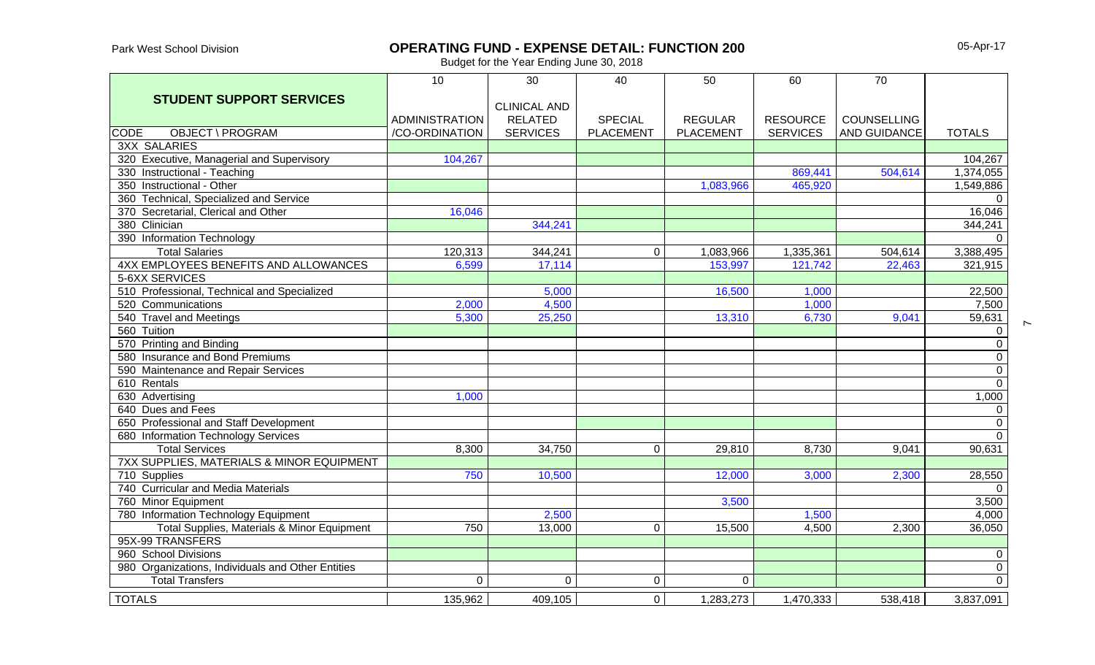Park West School Division

### **OPERATING FUND - EXPENSE DETAIL: FUNCTION 200**

05-Apr-17

 $\sim$ 

|                                                      | 10                    | 30                  | 40               | 50               | 60              | 70                  |                |
|------------------------------------------------------|-----------------------|---------------------|------------------|------------------|-----------------|---------------------|----------------|
| <b>STUDENT SUPPORT SERVICES</b>                      |                       |                     |                  |                  |                 |                     |                |
|                                                      |                       | <b>CLINICAL AND</b> |                  |                  |                 |                     |                |
|                                                      | <b>ADMINISTRATION</b> | <b>RELATED</b>      | <b>SPECIAL</b>   | <b>REGULAR</b>   | <b>RESOURCE</b> | <b>COUNSELLING</b>  |                |
| <b>OBJECT \ PROGRAM</b><br><b>CODE</b>               | /CO-ORDINATION        | <b>SERVICES</b>     | <b>PLACEMENT</b> | <b>PLACEMENT</b> | <b>SERVICES</b> | <b>AND GUIDANCE</b> | <b>TOTALS</b>  |
| <b>3XX SALARIES</b>                                  |                       |                     |                  |                  |                 |                     |                |
| 320 Executive, Managerial and Supervisory            | 104,267               |                     |                  |                  |                 |                     | 104,267        |
| 330 Instructional - Teaching                         |                       |                     |                  |                  | 869,441         | 504,614             | 1,374,055      |
| 350 Instructional - Other                            |                       |                     |                  | 1,083,966        | 465,920         |                     | 1,549,886      |
| 360 Technical, Specialized and Service               |                       |                     |                  |                  |                 |                     | $\Omega$       |
| 370 Secretarial, Clerical and Other                  | 16,046                |                     |                  |                  |                 |                     | 16,046         |
| 380 Clinician                                        |                       | 344,241             |                  |                  |                 |                     | 344,241        |
| 390 Information Technology                           |                       |                     |                  |                  |                 |                     | $\Omega$       |
| <b>Total Salaries</b>                                | 120,313               | 344,241             | 0                | 1,083,966        | 1,335,361       | 504,614             | 3,388,495      |
| 4XX EMPLOYEES BENEFITS AND ALLOWANCES                | 6,599                 | 17,114              |                  | 153,997          | 121,742         | 22,463              | 321,915        |
| 5-6XX SERVICES                                       |                       |                     |                  |                  |                 |                     |                |
| 510 Professional, Technical and Specialized          |                       | 5,000               |                  | 16,500           | 1,000           |                     | 22,500         |
| 520 Communications                                   | 2,000                 | 4,500               |                  |                  | 1,000           |                     | 7,500          |
| 540 Travel and Meetings                              | 5,300                 | 25,250              |                  | 13,310           | 6,730           | 9,041               | 59,631         |
| 560 Tuition                                          |                       |                     |                  |                  |                 |                     | 0              |
| 570 Printing and Binding                             |                       |                     |                  |                  |                 |                     | $\overline{0}$ |
| 580 Insurance and Bond Premiums                      |                       |                     |                  |                  |                 |                     | $\pmb{0}$      |
| 590 Maintenance and Repair Services                  |                       |                     |                  |                  |                 |                     | $\overline{0}$ |
| 610 Rentals                                          |                       |                     |                  |                  |                 |                     | $\overline{0}$ |
| 630 Advertising                                      | 1,000                 |                     |                  |                  |                 |                     | 1,000          |
| 640 Dues and Fees                                    |                       |                     |                  |                  |                 |                     | $\pmb{0}$      |
| 650 Professional and Staff Development               |                       |                     |                  |                  |                 |                     | $\overline{0}$ |
| 680 Information Technology Services                  |                       |                     |                  |                  |                 |                     | $\overline{0}$ |
| <b>Total Services</b>                                | 8,300                 | 34,750              | $\overline{0}$   | 29,810           | 8,730           | 9,041               | 90,631         |
| <b>7XX SUPPLIES, MATERIALS &amp; MINOR EQUIPMENT</b> |                       |                     |                  |                  |                 |                     |                |
| 710 Supplies                                         | 750                   | 10,500              |                  | 12,000           | 3,000           | 2,300               | 28,550         |
| 740 Curricular and Media Materials                   |                       |                     |                  |                  |                 |                     | $\Omega$       |
| 760 Minor Equipment                                  |                       |                     |                  | 3,500            |                 |                     | 3,500          |
| 780 Information Technology Equipment                 |                       | 2,500               |                  |                  | 1,500           |                     | 4,000          |
| Total Supplies, Materials & Minor Equipment          | 750                   | 13,000              | $\mathbf{0}$     | 15,500           | 4,500           | 2,300               | 36,050         |
| 95X-99 TRANSFERS                                     |                       |                     |                  |                  |                 |                     |                |
| 960 School Divisions                                 |                       |                     |                  |                  |                 |                     | $\pmb{0}$      |
| 980 Organizations, Individuals and Other Entities    |                       |                     |                  |                  |                 |                     | $\mathbf 0$    |
| <b>Total Transfers</b>                               | $\overline{0}$        | 0                   | $\mathbf 0$      | 0                |                 |                     | $\overline{0}$ |
| <b>TOTALS</b>                                        | 135,962               | 409,105             | $\overline{0}$   | 1,283,273        | 1,470,333       | 538,418             | 3,837,091      |
|                                                      |                       |                     |                  |                  |                 |                     |                |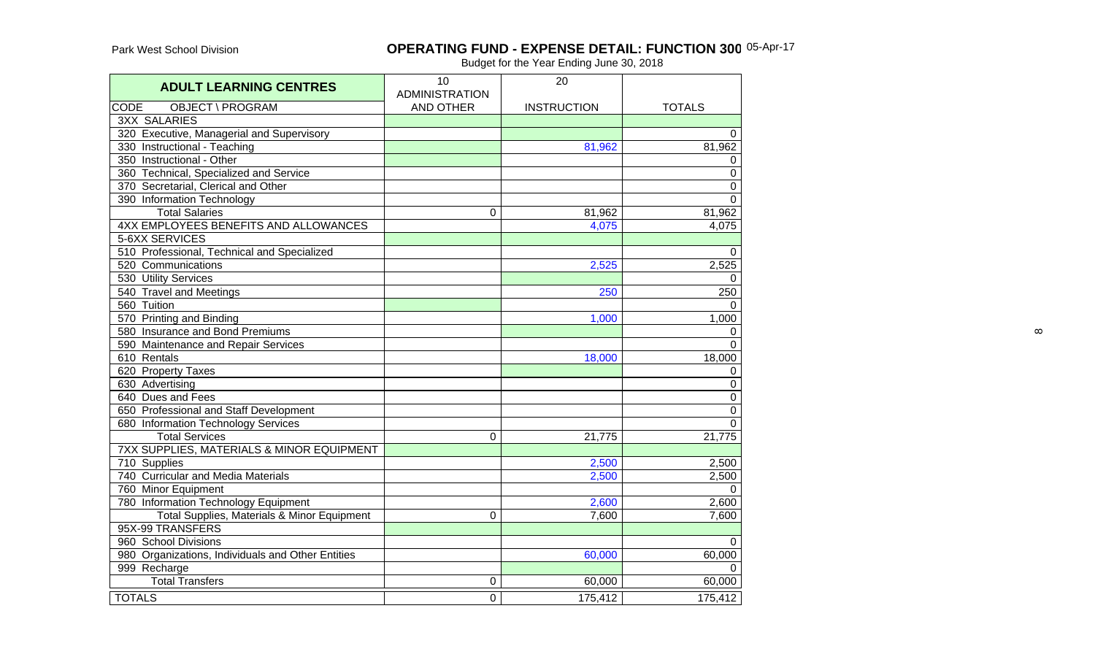#### **OPERATING FUND - EXPENSE DETAIL: FUNCTION 300** 05-Apr-17

| <b>ADULT LEARNING CENTRES</b>                     | 10<br><b>ADMINISTRATION</b> | 20                 |                |
|---------------------------------------------------|-----------------------------|--------------------|----------------|
| <b>OBJECT \ PROGRAM</b><br><b>CODE</b>            | <b>AND OTHER</b>            | <b>INSTRUCTION</b> | <b>TOTALS</b>  |
| <b>3XX SALARIES</b>                               |                             |                    |                |
| 320 Executive, Managerial and Supervisory         |                             |                    | $\Omega$       |
| 330 Instructional - Teaching                      |                             | 81,962             | 81,962         |
| 350 Instructional - Other                         |                             |                    | 0              |
| 360 Technical, Specialized and Service            |                             |                    | 0              |
| 370 Secretarial, Clerical and Other               |                             |                    | $\pmb{0}$      |
| 390 Information Technology                        |                             |                    | $\overline{0}$ |
| <b>Total Salaries</b>                             | 0                           | 81,962             | 81,962         |
| 4XX EMPLOYEES BENEFITS AND ALLOWANCES             |                             | 4,075              | 4,075          |
| 5-6XX SERVICES                                    |                             |                    |                |
| 510 Professional, Technical and Specialized       |                             |                    | 0              |
| 520 Communications                                |                             | 2,525              | 2,525          |
| 530 Utility Services                              |                             |                    | $\Omega$       |
| 540 Travel and Meetings                           |                             | 250                | 250            |
| 560 Tuition                                       |                             |                    | $\Omega$       |
| 570 Printing and Binding                          |                             | 1,000              | 1,000          |
| 580 Insurance and Bond Premiums                   |                             |                    | 0              |
| 590 Maintenance and Repair Services               |                             |                    | $\Omega$       |
| 610 Rentals                                       |                             | 18,000             | 18,000         |
| 620 Property Taxes                                |                             |                    | 0              |
| 630 Advertising                                   |                             |                    | $\mathbf 0$    |
| 640 Dues and Fees                                 |                             |                    | $\mathbf 0$    |
| 650 Professional and Staff Development            |                             |                    | $\mathbf 0$    |
| 680 Information Technology Services               |                             |                    | $\mathbf 0$    |
| <b>Total Services</b>                             | $\Omega$                    | 21,775             | 21,775         |
| 7XX SUPPLIES, MATERIALS & MINOR EQUIPMENT         |                             |                    |                |
| 710 Supplies                                      |                             | 2,500              | 2,500          |
| 740 Curricular and Media Materials                |                             | 2,500              | 2,500          |
| 760 Minor Equipment                               |                             |                    | $\Omega$       |
| 780 Information Technology Equipment              |                             | 2,600              | 2,600          |
| Total Supplies, Materials & Minor Equipment       | 0                           | 7,600              | 7,600          |
| 95X-99 TRANSFERS                                  |                             |                    |                |
| 960 School Divisions                              |                             |                    | 0              |
| 980 Organizations, Individuals and Other Entities |                             | 60,000             | 60,000         |
| 999 Recharge                                      |                             |                    | $\Omega$       |
| <b>Total Transfers</b>                            | 0                           | 60,000             | 60,000         |
| <b>TOTALS</b>                                     | 0                           | 175,412            | 175,412        |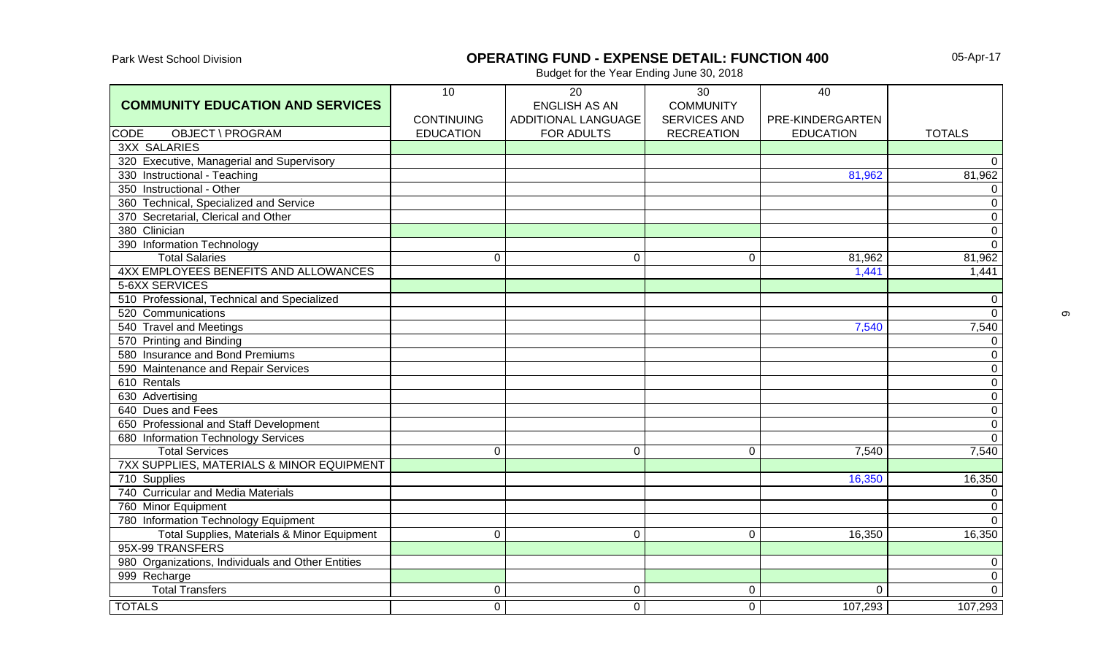# Park West School Division **OPERATING FUND - EXPENSE DETAIL: FUNCTION 400**

05-Apr-17

| ADDITIONAL LANGUAGE<br><b>SERVICES AND</b><br><b>CONTINUING</b><br>PRE-KINDERGARTEN<br>OBJECT \ PROGRAM<br><b>EDUCATION</b><br>FOR ADULTS<br><b>RECREATION</b><br><b>CODE</b><br><b>EDUCATION</b><br><b>TOTALS</b><br><b>3XX SALARIES</b><br>320 Executive, Managerial and Supervisory<br>81,962<br>330 Instructional - Teaching<br>81,962<br>350 Instructional - Other<br>360 Technical, Specialized and Service<br>$\pmb{0}$<br>370 Secretarial, Clerical and Other<br>$\overline{0}$<br>380 Clinician<br>$\mathbf 0$<br>390 Information Technology<br>81,962<br><b>Total Salaries</b><br>$\mathbf 0$<br>$\mathbf 0$<br>81,962<br>$\Omega$<br>4XX EMPLOYEES BENEFITS AND ALLOWANCES<br>1,441<br>1,441<br>5-6XX SERVICES<br>510 Professional, Technical and Specialized<br>520 Communications<br>7,540<br>540 Travel and Meetings<br>7,540<br>570 Printing and Binding<br>$\mathbf 0$<br>580 Insurance and Bond Premiums<br>$\mathbf 0$<br>590 Maintenance and Repair Services<br>610 Rentals<br>630 Advertising<br>$\mathbf 0$<br>640 Dues and Fees<br>650 Professional and Staff Development<br>$\overline{0}$<br>680 Information Technology Services<br><b>Total Services</b><br>7,540<br>7,540<br>$\mathbf 0$<br>$\mathbf 0$<br>$\mathbf 0$<br>7XX SUPPLIES, MATERIALS & MINOR EQUIPMENT |                                         | 10 | 20                   | 30               | 40 |  |
|-----------------------------------------------------------------------------------------------------------------------------------------------------------------------------------------------------------------------------------------------------------------------------------------------------------------------------------------------------------------------------------------------------------------------------------------------------------------------------------------------------------------------------------------------------------------------------------------------------------------------------------------------------------------------------------------------------------------------------------------------------------------------------------------------------------------------------------------------------------------------------------------------------------------------------------------------------------------------------------------------------------------------------------------------------------------------------------------------------------------------------------------------------------------------------------------------------------------------------------------------------------------------------------------------|-----------------------------------------|----|----------------------|------------------|----|--|
| $\overline{0}$<br>$\overline{0}$<br>$\overline{0}$<br>$\mathbf 0$<br>$\overline{0}$<br>$\mathbf 0$<br>$\overline{0}$<br>$\overline{0}$<br>$\overline{0}$                                                                                                                                                                                                                                                                                                                                                                                                                                                                                                                                                                                                                                                                                                                                                                                                                                                                                                                                                                                                                                                                                                                                      | <b>COMMUNITY EDUCATION AND SERVICES</b> |    | <b>ENGLISH AS AN</b> | <b>COMMUNITY</b> |    |  |
|                                                                                                                                                                                                                                                                                                                                                                                                                                                                                                                                                                                                                                                                                                                                                                                                                                                                                                                                                                                                                                                                                                                                                                                                                                                                                               |                                         |    |                      |                  |    |  |
|                                                                                                                                                                                                                                                                                                                                                                                                                                                                                                                                                                                                                                                                                                                                                                                                                                                                                                                                                                                                                                                                                                                                                                                                                                                                                               |                                         |    |                      |                  |    |  |
|                                                                                                                                                                                                                                                                                                                                                                                                                                                                                                                                                                                                                                                                                                                                                                                                                                                                                                                                                                                                                                                                                                                                                                                                                                                                                               |                                         |    |                      |                  |    |  |
|                                                                                                                                                                                                                                                                                                                                                                                                                                                                                                                                                                                                                                                                                                                                                                                                                                                                                                                                                                                                                                                                                                                                                                                                                                                                                               |                                         |    |                      |                  |    |  |
|                                                                                                                                                                                                                                                                                                                                                                                                                                                                                                                                                                                                                                                                                                                                                                                                                                                                                                                                                                                                                                                                                                                                                                                                                                                                                               |                                         |    |                      |                  |    |  |
|                                                                                                                                                                                                                                                                                                                                                                                                                                                                                                                                                                                                                                                                                                                                                                                                                                                                                                                                                                                                                                                                                                                                                                                                                                                                                               |                                         |    |                      |                  |    |  |
|                                                                                                                                                                                                                                                                                                                                                                                                                                                                                                                                                                                                                                                                                                                                                                                                                                                                                                                                                                                                                                                                                                                                                                                                                                                                                               |                                         |    |                      |                  |    |  |
|                                                                                                                                                                                                                                                                                                                                                                                                                                                                                                                                                                                                                                                                                                                                                                                                                                                                                                                                                                                                                                                                                                                                                                                                                                                                                               |                                         |    |                      |                  |    |  |
|                                                                                                                                                                                                                                                                                                                                                                                                                                                                                                                                                                                                                                                                                                                                                                                                                                                                                                                                                                                                                                                                                                                                                                                                                                                                                               |                                         |    |                      |                  |    |  |
|                                                                                                                                                                                                                                                                                                                                                                                                                                                                                                                                                                                                                                                                                                                                                                                                                                                                                                                                                                                                                                                                                                                                                                                                                                                                                               |                                         |    |                      |                  |    |  |
|                                                                                                                                                                                                                                                                                                                                                                                                                                                                                                                                                                                                                                                                                                                                                                                                                                                                                                                                                                                                                                                                                                                                                                                                                                                                                               |                                         |    |                      |                  |    |  |
|                                                                                                                                                                                                                                                                                                                                                                                                                                                                                                                                                                                                                                                                                                                                                                                                                                                                                                                                                                                                                                                                                                                                                                                                                                                                                               |                                         |    |                      |                  |    |  |
|                                                                                                                                                                                                                                                                                                                                                                                                                                                                                                                                                                                                                                                                                                                                                                                                                                                                                                                                                                                                                                                                                                                                                                                                                                                                                               |                                         |    |                      |                  |    |  |
|                                                                                                                                                                                                                                                                                                                                                                                                                                                                                                                                                                                                                                                                                                                                                                                                                                                                                                                                                                                                                                                                                                                                                                                                                                                                                               |                                         |    |                      |                  |    |  |
|                                                                                                                                                                                                                                                                                                                                                                                                                                                                                                                                                                                                                                                                                                                                                                                                                                                                                                                                                                                                                                                                                                                                                                                                                                                                                               |                                         |    |                      |                  |    |  |
|                                                                                                                                                                                                                                                                                                                                                                                                                                                                                                                                                                                                                                                                                                                                                                                                                                                                                                                                                                                                                                                                                                                                                                                                                                                                                               |                                         |    |                      |                  |    |  |
|                                                                                                                                                                                                                                                                                                                                                                                                                                                                                                                                                                                                                                                                                                                                                                                                                                                                                                                                                                                                                                                                                                                                                                                                                                                                                               |                                         |    |                      |                  |    |  |
|                                                                                                                                                                                                                                                                                                                                                                                                                                                                                                                                                                                                                                                                                                                                                                                                                                                                                                                                                                                                                                                                                                                                                                                                                                                                                               |                                         |    |                      |                  |    |  |
|                                                                                                                                                                                                                                                                                                                                                                                                                                                                                                                                                                                                                                                                                                                                                                                                                                                                                                                                                                                                                                                                                                                                                                                                                                                                                               |                                         |    |                      |                  |    |  |
|                                                                                                                                                                                                                                                                                                                                                                                                                                                                                                                                                                                                                                                                                                                                                                                                                                                                                                                                                                                                                                                                                                                                                                                                                                                                                               |                                         |    |                      |                  |    |  |
|                                                                                                                                                                                                                                                                                                                                                                                                                                                                                                                                                                                                                                                                                                                                                                                                                                                                                                                                                                                                                                                                                                                                                                                                                                                                                               |                                         |    |                      |                  |    |  |
|                                                                                                                                                                                                                                                                                                                                                                                                                                                                                                                                                                                                                                                                                                                                                                                                                                                                                                                                                                                                                                                                                                                                                                                                                                                                                               |                                         |    |                      |                  |    |  |
|                                                                                                                                                                                                                                                                                                                                                                                                                                                                                                                                                                                                                                                                                                                                                                                                                                                                                                                                                                                                                                                                                                                                                                                                                                                                                               |                                         |    |                      |                  |    |  |
|                                                                                                                                                                                                                                                                                                                                                                                                                                                                                                                                                                                                                                                                                                                                                                                                                                                                                                                                                                                                                                                                                                                                                                                                                                                                                               |                                         |    |                      |                  |    |  |
|                                                                                                                                                                                                                                                                                                                                                                                                                                                                                                                                                                                                                                                                                                                                                                                                                                                                                                                                                                                                                                                                                                                                                                                                                                                                                               |                                         |    |                      |                  |    |  |
|                                                                                                                                                                                                                                                                                                                                                                                                                                                                                                                                                                                                                                                                                                                                                                                                                                                                                                                                                                                                                                                                                                                                                                                                                                                                                               |                                         |    |                      |                  |    |  |
| 710 Supplies<br>16,350<br>16,350                                                                                                                                                                                                                                                                                                                                                                                                                                                                                                                                                                                                                                                                                                                                                                                                                                                                                                                                                                                                                                                                                                                                                                                                                                                              |                                         |    |                      |                  |    |  |
| 740 Curricular and Media Materials<br>$\mathbf 0$                                                                                                                                                                                                                                                                                                                                                                                                                                                                                                                                                                                                                                                                                                                                                                                                                                                                                                                                                                                                                                                                                                                                                                                                                                             |                                         |    |                      |                  |    |  |
| 760 Minor Equipment<br>$\mathbf 0$                                                                                                                                                                                                                                                                                                                                                                                                                                                                                                                                                                                                                                                                                                                                                                                                                                                                                                                                                                                                                                                                                                                                                                                                                                                            |                                         |    |                      |                  |    |  |
| 780 Information Technology Equipment<br>$\overline{0}$                                                                                                                                                                                                                                                                                                                                                                                                                                                                                                                                                                                                                                                                                                                                                                                                                                                                                                                                                                                                                                                                                                                                                                                                                                        |                                         |    |                      |                  |    |  |
| Total Supplies, Materials & Minor Equipment<br>16,350<br>16,350<br>$\mathbf 0$<br>$\mathbf 0$<br>$\mathbf 0$                                                                                                                                                                                                                                                                                                                                                                                                                                                                                                                                                                                                                                                                                                                                                                                                                                                                                                                                                                                                                                                                                                                                                                                  |                                         |    |                      |                  |    |  |
| 95X-99 TRANSFERS                                                                                                                                                                                                                                                                                                                                                                                                                                                                                                                                                                                                                                                                                                                                                                                                                                                                                                                                                                                                                                                                                                                                                                                                                                                                              |                                         |    |                      |                  |    |  |
| 980 Organizations, Individuals and Other Entities<br>$\mathbf 0$                                                                                                                                                                                                                                                                                                                                                                                                                                                                                                                                                                                                                                                                                                                                                                                                                                                                                                                                                                                                                                                                                                                                                                                                                              |                                         |    |                      |                  |    |  |
| $\overline{0}$<br>999 Recharge                                                                                                                                                                                                                                                                                                                                                                                                                                                                                                                                                                                                                                                                                                                                                                                                                                                                                                                                                                                                                                                                                                                                                                                                                                                                |                                         |    |                      |                  |    |  |
| $\overline{0}$<br><b>Total Transfers</b><br>0<br>0<br>0<br>$\mathbf{0}$                                                                                                                                                                                                                                                                                                                                                                                                                                                                                                                                                                                                                                                                                                                                                                                                                                                                                                                                                                                                                                                                                                                                                                                                                       |                                         |    |                      |                  |    |  |
| <b>TOTALS</b><br>107,293<br>107,293<br>$\overline{0}$<br>$\overline{0}$<br>$\overline{0}$                                                                                                                                                                                                                                                                                                                                                                                                                                                                                                                                                                                                                                                                                                                                                                                                                                                                                                                                                                                                                                                                                                                                                                                                     |                                         |    |                      |                  |    |  |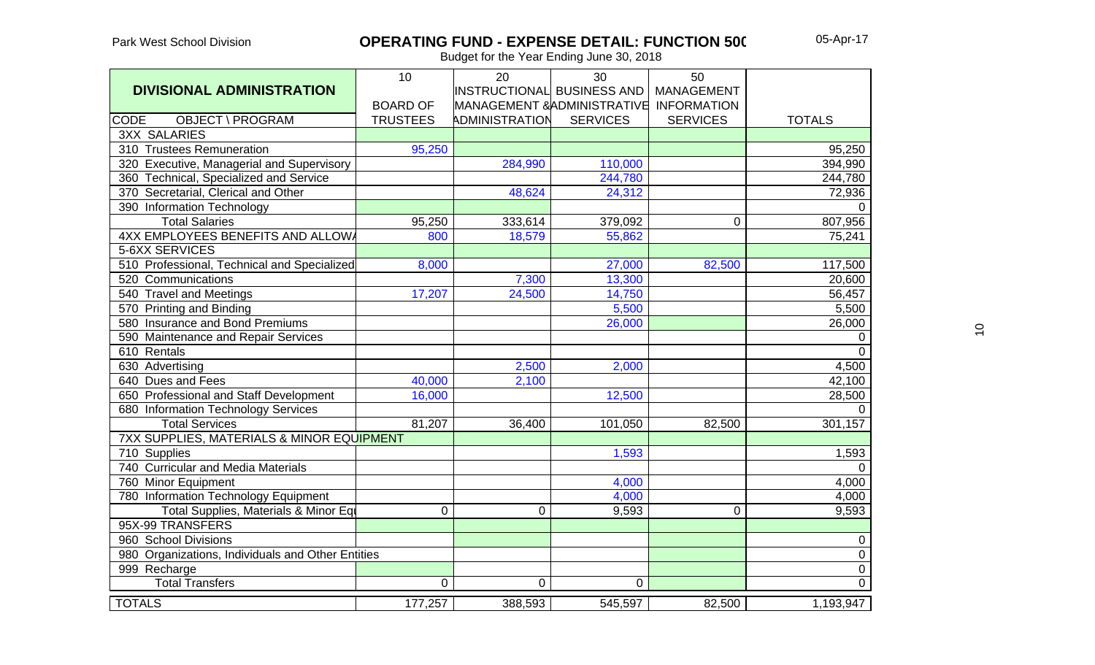## **OPERATING FUND - EXPENSE DETAIL: FUNCTION 500**

|                                                      | 10              | 20                         | 30                          | 50                 |                |
|------------------------------------------------------|-----------------|----------------------------|-----------------------------|--------------------|----------------|
| <b>DIVISIONAL ADMINISTRATION</b>                     |                 | INSTRUCTIONAL BUSINESS AND |                             | <b>MANAGEMENT</b>  |                |
|                                                      | <b>BOARD OF</b> |                            | MANAGEMENT & ADMINISTRATIVE | <b>INFORMATION</b> |                |
| <b>CODE</b><br>OBJECT \ PROGRAM                      | <b>TRUSTEES</b> | ADMINISTRATION             | <b>SERVICES</b>             | <b>SERVICES</b>    | <b>TOTALS</b>  |
| <b>3XX SALARIES</b>                                  |                 |                            |                             |                    |                |
| 310 Trustees Remuneration                            | 95,250          |                            |                             |                    | 95,250         |
| 320 Executive, Managerial and Supervisory            |                 | 284,990                    | 110,000                     |                    | 394,990        |
| 360 Technical, Specialized and Service               |                 |                            | 244,780                     |                    | 244,780        |
| 370 Secretarial, Clerical and Other                  |                 | 48,624                     | 24,312                      |                    | 72,936         |
| 390 Information Technology                           |                 |                            |                             |                    | $\overline{0}$ |
| <b>Total Salaries</b>                                | 95,250          | 333,614                    | 379,092                     | $\mathbf 0$        | 807,956        |
| 4XX EMPLOYEES BENEFITS AND ALLOWA                    | 800             | 18,579                     | 55,862                      |                    | 75,241         |
| 5-6XX SERVICES                                       |                 |                            |                             |                    |                |
| 510 Professional, Technical and Specialized          | 8,000           |                            | 27,000                      | 82,500             | 117,500        |
| 520 Communications                                   |                 | 7,300                      | 13,300                      |                    | 20,600         |
| 540 Travel and Meetings                              | 17,207          | 24,500                     | 14,750                      |                    | 56,457         |
| 570 Printing and Binding                             |                 |                            | 5,500                       |                    | 5,500          |
| 580 Insurance and Bond Premiums                      |                 |                            | 26,000                      |                    | 26,000         |
| 590 Maintenance and Repair Services                  |                 |                            |                             |                    | $\mathbf 0$    |
| 610 Rentals                                          |                 |                            |                             |                    | $\overline{0}$ |
| 630 Advertising                                      |                 | 2,500                      | 2,000                       |                    | 4,500          |
| 640 Dues and Fees                                    | 40,000          | 2,100                      |                             |                    | 42,100         |
| 650 Professional and Staff Development               | 16,000          |                            | 12,500                      |                    | 28,500         |
| 680 Information Technology Services                  |                 |                            |                             |                    | $\mathbf 0$    |
| <b>Total Services</b>                                | 81,207          | 36,400                     | 101,050                     | 82,500             | 301,157        |
| <b>7XX SUPPLIES, MATERIALS &amp; MINOR EQUIPMENT</b> |                 |                            |                             |                    |                |
| 710 Supplies                                         |                 |                            | 1,593                       |                    | 1,593          |
| 740 Curricular and Media Materials                   |                 |                            |                             |                    | $\overline{0}$ |
| 760 Minor Equipment                                  |                 |                            | 4,000                       |                    | 4,000          |
| 780 Information Technology Equipment                 |                 |                            | 4,000                       |                    | 4,000          |
| Total Supplies, Materials & Minor Equ                | 0               | 0                          | 9,593                       | 0                  | 9,593          |
| 95X-99 TRANSFERS                                     |                 |                            |                             |                    |                |
| 960 School Divisions                                 |                 |                            |                             |                    | $\pmb{0}$      |
| 980 Organizations, Individuals and Other Entities    |                 |                            |                             |                    | $\overline{0}$ |
| 999 Recharge                                         |                 |                            |                             |                    | $\overline{0}$ |
| <b>Total Transfers</b>                               | 0               | $\Omega$                   | $\mathbf 0$                 |                    | $\overline{0}$ |
| <b>TOTALS</b>                                        | 177,257         | 388,593                    | 545,597                     | 82,500             | 1,193,947      |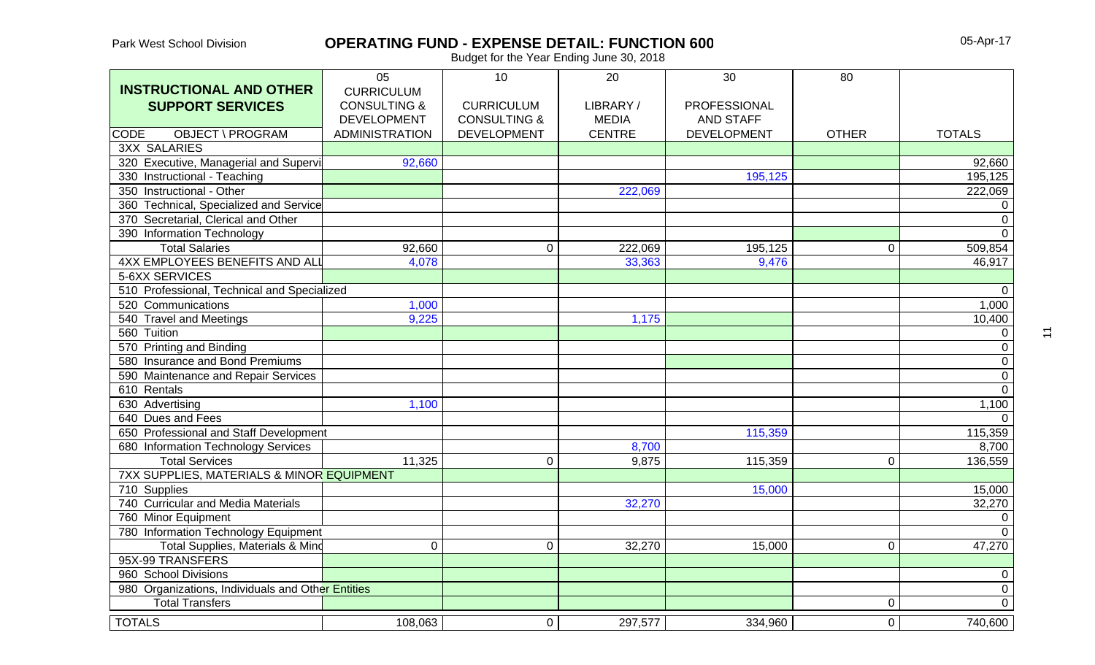### **OPERATING FUND - EXPENSE DETAIL: FUNCTION 600**

05-Apr-17

Budget for the Year Ending June 30, 2018

|                                                   | 05                      | 10                      | 20            | 30                 | 80             |                |
|---------------------------------------------------|-------------------------|-------------------------|---------------|--------------------|----------------|----------------|
| <b>INSTRUCTIONAL AND OTHER</b>                    | <b>CURRICULUM</b>       |                         |               |                    |                |                |
| <b>SUPPORT SERVICES</b>                           | <b>CONSULTING &amp;</b> | <b>CURRICULUM</b>       | LIBRARY/      | PROFESSIONAL       |                |                |
|                                                   | <b>DEVELOPMENT</b>      | <b>CONSULTING &amp;</b> | <b>MEDIA</b>  | <b>AND STAFF</b>   |                |                |
| <b>OBJECT \ PROGRAM</b><br>CODE                   | <b>ADMINISTRATION</b>   | <b>DEVELOPMENT</b>      | <b>CENTRE</b> | <b>DEVELOPMENT</b> | <b>OTHER</b>   | <b>TOTALS</b>  |
| <b>3XX SALARIES</b>                               |                         |                         |               |                    |                |                |
| 320 Executive, Managerial and Supervi             | 92,660                  |                         |               |                    |                | 92,660         |
| 330 Instructional - Teaching                      |                         |                         |               | 195,125            |                | 195,125        |
| 350 Instructional - Other                         |                         |                         | 222,069       |                    |                | 222,069        |
| 360 Technical, Specialized and Service            |                         |                         |               |                    |                | 0              |
| 370 Secretarial, Clerical and Other               |                         |                         |               |                    |                | $\overline{0}$ |
| 390 Information Technology                        |                         |                         |               |                    |                | $\overline{0}$ |
| <b>Total Salaries</b>                             | 92,660                  | 0                       | 222,069       | 195,125            | $\Omega$       | 509,854        |
| <b>4XX EMPLOYEES BENEFITS AND ALL</b>             | 4,078                   |                         | 33,363        | 9,476              |                | 46,917         |
| 5-6XX SERVICES                                    |                         |                         |               |                    |                |                |
| 510 Professional, Technical and Specialized       |                         |                         |               |                    |                | $\overline{0}$ |
| 520 Communications                                | 1,000                   |                         |               |                    |                | 1,000          |
| 540 Travel and Meetings                           | 9,225                   |                         | 1,175         |                    |                | 10,400         |
| 560 Tuition                                       |                         |                         |               |                    |                | 0              |
| 570 Printing and Binding                          |                         |                         |               |                    |                | $\mathbf 0$    |
| 580 Insurance and Bond Premiums                   |                         |                         |               |                    |                | $\overline{0}$ |
| 590 Maintenance and Repair Services               |                         |                         |               |                    |                | $\overline{0}$ |
| 610 Rentals                                       |                         |                         |               |                    |                | $\overline{0}$ |
| 630 Advertising                                   | 1,100                   |                         |               |                    |                | 1,100          |
| 640 Dues and Fees                                 |                         |                         |               |                    |                | $\Omega$       |
| 650 Professional and Staff Development            |                         |                         |               | 115,359            |                | 115,359        |
| 680 Information Technology Services               |                         |                         | 8,700         |                    |                | 8,700          |
| <b>Total Services</b>                             | 11,325                  | $\mathbf 0$             | 9,875         | 115,359            | $\Omega$       | 136,559        |
| 7XX SUPPLIES, MATERIALS & MINOR EQUIPMENT         |                         |                         |               |                    |                |                |
| 710 Supplies                                      |                         |                         |               | 15,000             |                | 15,000         |
| 740 Curricular and Media Materials                |                         |                         | 32,270        |                    |                | 32,270         |
| 760 Minor Equipment                               |                         |                         |               |                    |                | $\overline{0}$ |
| 780 Information Technology Equipment              |                         |                         |               |                    |                | $\overline{0}$ |
| Total Supplies, Materials & Mind                  | $\mathbf 0$             | $\mathbf 0$             | 32,270        | 15,000             | $\mathbf 0$    | 47,270         |
| 95X-99 TRANSFERS                                  |                         |                         |               |                    |                |                |
| 960 School Divisions                              |                         |                         |               |                    |                | $\overline{0}$ |
| 980 Organizations, Individuals and Other Entities |                         |                         |               |                    |                | $\overline{0}$ |
| <b>Total Transfers</b>                            |                         |                         |               |                    | $\overline{0}$ | $\overline{0}$ |
| <b>TOTALS</b>                                     | 108,063                 | $\mathbf 0$             | 297,577       | 334,960            | $\overline{0}$ | 740,600        |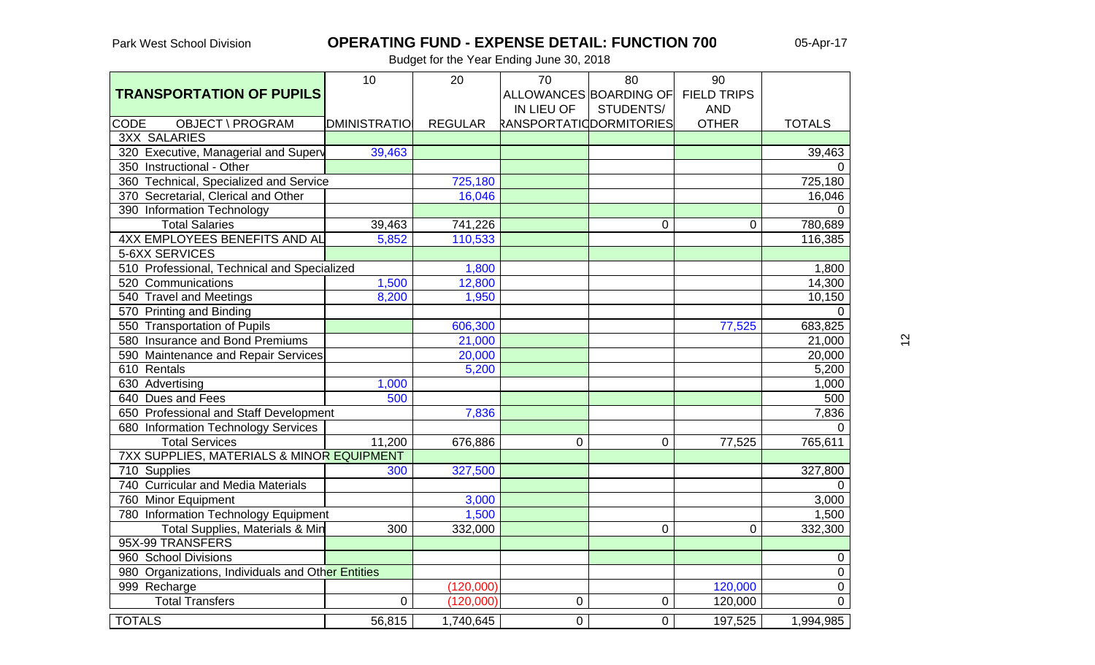## **OPERATING FUND - EXPENSE DETAIL: FUNCTION 700** 05-Apr-17

Budget for the Year Ending June 30, 2018

|                                                      | 10                  | 20             | 70                      | 80                     | 90                 |                |
|------------------------------------------------------|---------------------|----------------|-------------------------|------------------------|--------------------|----------------|
| <b>TRANSPORTATION OF PUPILS</b>                      |                     |                |                         | ALLOWANCES BOARDING OF | <b>FIELD TRIPS</b> |                |
|                                                      |                     |                | IN LIEU OF              | STUDENTS/              | <b>AND</b>         |                |
| OBJECT \ PROGRAM<br><b>CODE</b>                      | <b>DMINISTRATIO</b> | <b>REGULAR</b> | RANSPORTATIODORMITORIES |                        | <b>OTHER</b>       | <b>TOTALS</b>  |
| <b>3XX SALARIES</b>                                  |                     |                |                         |                        |                    |                |
| 320 Executive, Managerial and Superv                 | 39,463              |                |                         |                        |                    | 39,463         |
| 350 Instructional - Other                            |                     |                |                         |                        |                    | $\Omega$       |
| 360 Technical, Specialized and Service               |                     | 725,180        |                         |                        |                    | 725,180        |
| 370 Secretarial, Clerical and Other                  |                     | 16,046         |                         |                        |                    | 16,046         |
| 390 Information Technology                           |                     |                |                         |                        |                    | $\Omega$       |
| <b>Total Salaries</b>                                | 39,463              | 741,226        |                         | 0                      | $\mathbf 0$        | 780,689        |
| <b>4XX EMPLOYEES BENEFITS AND AL</b>                 | 5,852               | 110,533        |                         |                        |                    | 116,385        |
| 5-6XX SERVICES                                       |                     |                |                         |                        |                    |                |
| 510 Professional, Technical and Specialized          |                     | 1,800          |                         |                        |                    | 1,800          |
| 520 Communications                                   | 1,500               | 12,800         |                         |                        |                    | 14,300         |
| 540 Travel and Meetings                              | 8,200               | 1,950          |                         |                        |                    | 10,150         |
| 570 Printing and Binding                             |                     |                |                         |                        |                    | $\Omega$       |
| 550 Transportation of Pupils                         |                     | 606,300        |                         |                        | 77,525             | 683,825        |
| 580 Insurance and Bond Premiums                      |                     | 21,000         |                         |                        |                    | 21,000         |
| 590 Maintenance and Repair Services                  |                     | 20,000         |                         |                        |                    | 20,000         |
| 610 Rentals                                          |                     | 5,200          |                         |                        |                    | 5,200          |
| 630 Advertising                                      | 1,000               |                |                         |                        |                    | 1,000          |
| 640 Dues and Fees                                    | 500                 |                |                         |                        |                    | 500            |
| 650 Professional and Staff Development               |                     | 7,836          |                         |                        |                    | 7,836          |
| 680 Information Technology Services                  |                     |                |                         |                        |                    | $\Omega$       |
| <b>Total Services</b>                                | 11,200              | 676,886        | 0                       | 0                      | 77,525             | 765,611        |
| <b>7XX SUPPLIES, MATERIALS &amp; MINOR EQUIPMENT</b> |                     |                |                         |                        |                    |                |
| 710 Supplies                                         | 300                 | 327,500        |                         |                        |                    | 327,800        |
| 740 Curricular and Media Materials                   |                     |                |                         |                        |                    | $\Omega$       |
| 760 Minor Equipment                                  |                     | 3,000          |                         |                        |                    | 3,000          |
| 780 Information Technology Equipment                 |                     | 1,500          |                         |                        |                    | 1,500          |
| Total Supplies, Materials & Min                      | 300                 | 332,000        |                         | 0                      | 0                  | 332,300        |
| 95X-99 TRANSFERS                                     |                     |                |                         |                        |                    |                |
| 960 School Divisions                                 |                     |                |                         |                        |                    | 0              |
| 980 Organizations, Individuals and Other Entities    |                     |                |                         |                        |                    | $\pmb{0}$      |
| 999 Recharge                                         |                     | (120,000)      |                         |                        | 120,000            | $\pmb{0}$      |
| <b>Total Transfers</b>                               | $\Omega$            | (120,000)      | $\Omega$                | 0                      | 120,000            | $\overline{0}$ |
| <b>TOTALS</b>                                        | 56,815              | 1,740,645      | 0                       | $\overline{0}$         | 197,525            | 1,994,985      |

 $\tilde{c}$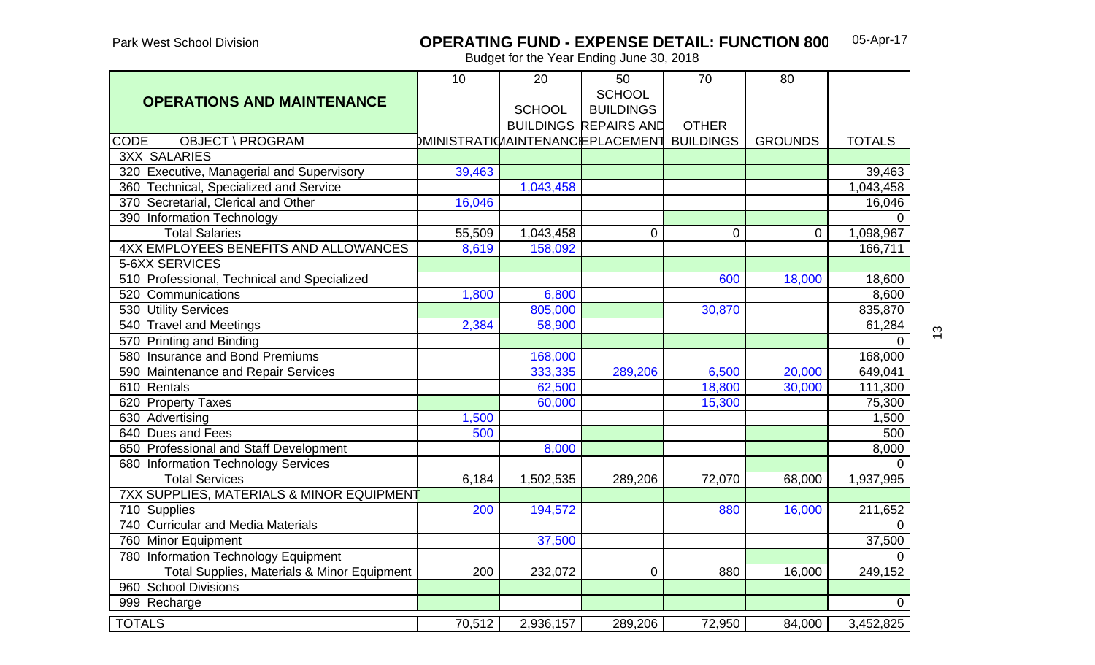#### **OPERATING FUND - EXPENSE DETAIL: FUNCTION 800**05-Apr-17

|                                             | 10     | 20            | 50                                 | 70               | 80             |                |
|---------------------------------------------|--------|---------------|------------------------------------|------------------|----------------|----------------|
| <b>OPERATIONS AND MAINTENANCE</b>           |        |               | <b>SCHOOL</b>                      |                  |                |                |
|                                             |        | <b>SCHOOL</b> | <b>BUILDINGS</b>                   |                  |                |                |
|                                             |        |               | <b>BUILDINGS REPAIRS AND</b>       | <b>OTHER</b>     |                |                |
| <b>CODE</b><br><b>OBJECT \ PROGRAM</b>      |        |               | DMINISTRATIO/IAINTENANCIEPLACEMENT | <b>BUILDINGS</b> | <b>GROUNDS</b> | <b>TOTALS</b>  |
| <b>3XX SALARIES</b>                         |        |               |                                    |                  |                |                |
| 320 Executive, Managerial and Supervisory   | 39,463 |               |                                    |                  |                | 39,463         |
| 360 Technical, Specialized and Service      |        | 1,043,458     |                                    |                  |                | 1,043,458      |
| 370 Secretarial, Clerical and Other         | 16,046 |               |                                    |                  |                | 16,046         |
| 390 Information Technology                  |        |               |                                    |                  |                | $\Omega$       |
| <b>Total Salaries</b>                       | 55,509 | 1,043,458     | $\overline{0}$                     | $\mathbf 0$      | $\overline{0}$ | 1,098,967      |
| 4XX EMPLOYEES BENEFITS AND ALLOWANCES       | 8,619  | 158,092       |                                    |                  |                | 166,711        |
| 5-6XX SERVICES                              |        |               |                                    |                  |                |                |
| 510 Professional, Technical and Specialized |        |               |                                    | 600              | 18,000         | 18,600         |
| 520 Communications                          | 1,800  | 6,800         |                                    |                  |                | 8,600          |
| 530 Utility Services                        |        | 805,000       |                                    | 30,870           |                | 835,870        |
| 540 Travel and Meetings                     | 2,384  | 58,900        |                                    |                  |                | 61,284         |
| 570 Printing and Binding                    |        |               |                                    |                  |                | $\overline{0}$ |
| 580 Insurance and Bond Premiums             |        | 168,000       |                                    |                  |                | 168,000        |
| 590 Maintenance and Repair Services         |        | 333,335       | 289,206                            | 6,500            | 20,000         | 649,041        |
| 610 Rentals                                 |        | 62,500        |                                    | 18,800           | 30,000         | 111,300        |
| 620 Property Taxes                          |        | 60,000        |                                    | 15,300           |                | 75,300         |
| 630 Advertising                             | 1,500  |               |                                    |                  |                | 1,500          |
| 640 Dues and Fees                           | 500    |               |                                    |                  |                | 500            |
| 650 Professional and Staff Development      |        | 8,000         |                                    |                  |                | 8,000          |
| 680 Information Technology Services         |        |               |                                    |                  |                | $\Omega$       |
| <b>Total Services</b>                       | 6,184  | 1,502,535     | 289,206                            | 72,070           | 68,000         | 1,937,995      |
| 7XX SUPPLIES, MATERIALS & MINOR EQUIPMENT   |        |               |                                    |                  |                |                |
| 710 Supplies                                | 200    | 194,572       |                                    | 880              | 16,000         | 211,652        |
| 740 Curricular and Media Materials          |        |               |                                    |                  |                | $\Omega$       |
| 760 Minor Equipment                         |        | 37,500        |                                    |                  |                | 37,500         |
| 780 Information Technology Equipment        |        |               |                                    |                  |                | $\Omega$       |
| Total Supplies, Materials & Minor Equipment | 200    | 232,072       | $\Omega$                           | 880              | 16,000         | 249,152        |
| 960 School Divisions                        |        |               |                                    |                  |                |                |
| 999 Recharge                                |        |               |                                    |                  |                | $\overline{0}$ |
| <b>TOTALS</b>                               | 70,512 | 2,936,157     | 289,206                            | 72,950           | 84,000         | 3,452,825      |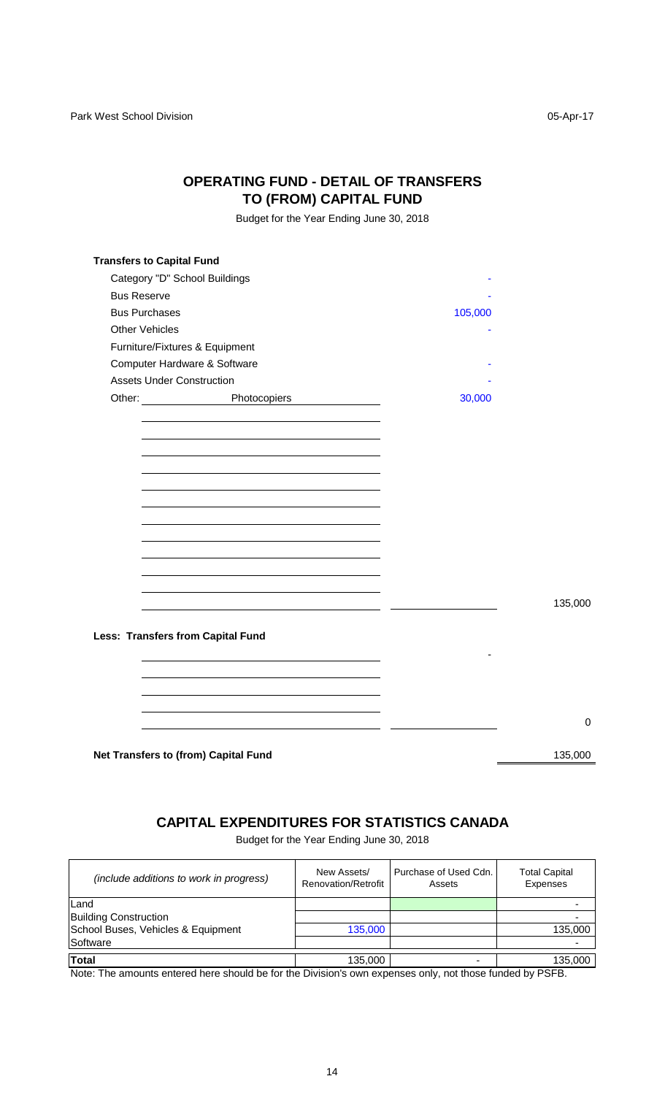### **OPERATING FUND - DETAIL OF TRANSFERS TO (FROM) CAPITAL FUND**

Budget for the Year Ending June 30, 2018

|                                  | Category "D" School Buildings                                |         |         |
|----------------------------------|--------------------------------------------------------------|---------|---------|
| <b>Bus Reserve</b>               |                                                              |         |         |
| <b>Bus Purchases</b>             |                                                              | 105,000 |         |
| <b>Other Vehicles</b>            |                                                              |         |         |
|                                  | Furniture/Fixtures & Equipment                               |         |         |
|                                  | Computer Hardware & Software                                 |         |         |
| <b>Assets Under Construction</b> |                                                              |         |         |
|                                  | Other: Photocopiers<br><u> 1989 - Jan Barbara III, marka</u> | 30,000  |         |
|                                  |                                                              |         |         |
|                                  |                                                              |         |         |
|                                  |                                                              |         |         |
|                                  |                                                              |         |         |
|                                  |                                                              |         |         |
|                                  |                                                              |         |         |
|                                  |                                                              |         |         |
|                                  |                                                              |         |         |
|                                  |                                                              |         |         |
|                                  |                                                              |         |         |
|                                  |                                                              |         |         |
|                                  |                                                              |         |         |
|                                  |                                                              |         | 135,000 |
|                                  |                                                              |         |         |
|                                  | <b>Less: Transfers from Capital Fund</b>                     |         |         |
|                                  |                                                              |         |         |
|                                  |                                                              |         |         |
|                                  |                                                              |         |         |
|                                  |                                                              |         |         |
|                                  |                                                              |         |         |
|                                  |                                                              |         |         |
|                                  | Net Transfers to (from) Capital Fund                         |         | 135,000 |

### **CAPITAL EXPENDITURES FOR STATISTICS CANADA**

Budget for the Year Ending June 30, 2018

| (include additions to work in progress) | New Assets/<br>Renovation/Retrofit | Purchase of Used Cdn.<br>Assets | <b>Total Capital</b><br><b>Expenses</b> |
|-----------------------------------------|------------------------------------|---------------------------------|-----------------------------------------|
| Land                                    |                                    |                                 |                                         |
| <b>Building Construction</b>            |                                    |                                 |                                         |
| School Buses, Vehicles & Equipment      | 135,000                            |                                 | 135,000                                 |
| Software                                |                                    |                                 |                                         |
| <b>Total</b>                            | 135,000                            |                                 | 135,000                                 |

Note: The amounts entered here should be for the Division's own expenses only, not those funded by PSFB.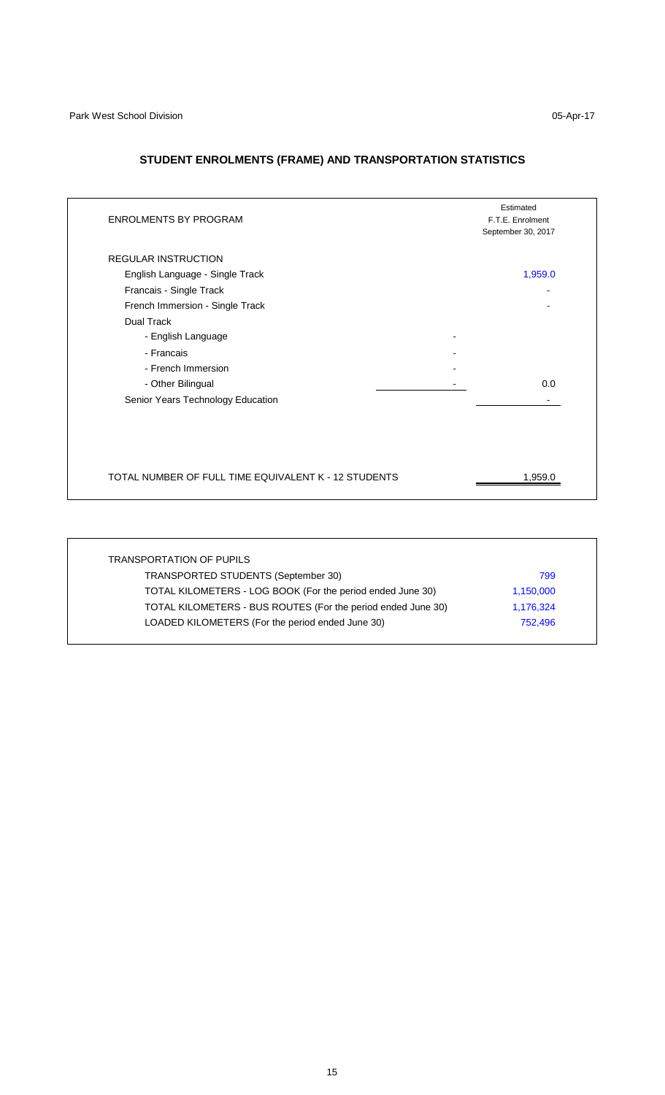### **STUDENT ENROLMENTS (FRAME) AND TRANSPORTATION STATISTICS**

| <b>ENROLMENTS BY PROGRAM</b>                                                                                                                                                                                             | Estimated<br>F.T.E. Enrolment<br>September 30, 2017 |
|--------------------------------------------------------------------------------------------------------------------------------------------------------------------------------------------------------------------------|-----------------------------------------------------|
| <b>REGULAR INSTRUCTION</b><br>English Language - Single Track<br>Francais - Single Track<br>French Immersion - Single Track<br>Dual Track<br>- English Language<br>- Francais<br>- French Immersion<br>- Other Bilingual | 1,959.0<br>0.0                                      |
| Senior Years Technology Education<br>TOTAL NUMBER OF FULL TIME EQUIVALENT K - 12 STUDENTS                                                                                                                                | 1,959.0                                             |

| <b>TRANSPORTATION OF PUPILS</b>                              |           |
|--------------------------------------------------------------|-----------|
| TRANSPORTED STUDENTS (September 30)                          | 799       |
| TOTAL KILOMETERS - LOG BOOK (For the period ended June 30)   | 1,150,000 |
| TOTAL KILOMETERS - BUS ROUTES (For the period ended June 30) | 1,176,324 |
| LOADED KILOMETERS (For the period ended June 30)             | 752,496   |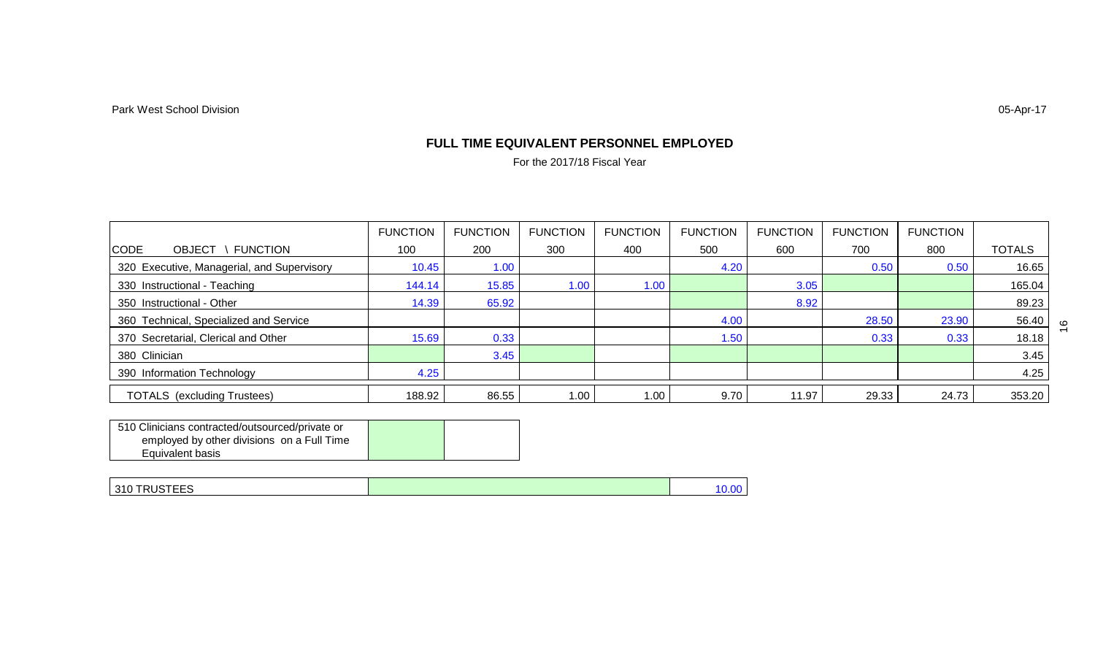#### **FULL TIME EQUIVALENT PERSONNEL EMPLOYED**

For the 2017/18 Fiscal Year

|                                                 | <b>FUNCTION</b> | <b>FUNCTION</b> | <b>FUNCTION</b> | <b>FUNCTION</b> | <b>FUNCTION</b> | <b>FUNCTION</b> | <b>FUNCTION</b> | <b>FUNCTION</b> |               |
|-------------------------------------------------|-----------------|-----------------|-----------------|-----------------|-----------------|-----------------|-----------------|-----------------|---------------|
| <b>CODE</b><br><b>FUNCTION</b><br><b>OBJECT</b> | 100             | 200             | 300             | 400             | 500             | 600             | 700             | 800             | <b>TOTALS</b> |
| 320 Executive, Managerial, and Supervisory      | 10.45           | 1.00            |                 |                 | 4.20            |                 | 0.50            | 0.50            | 16.65         |
| 330 Instructional - Teaching                    | 144.14          | 15.85           | 1.00            | 1.00            |                 | 3.05            |                 |                 | 165.04        |
| 350 Instructional - Other                       | 14.39           | 65.92           |                 |                 |                 | 8.92            |                 |                 | 89.23         |
| 360 Technical, Specialized and Service          |                 |                 |                 |                 | 4.00            |                 | 28.50           | 23.90           | 56.40         |
| 370 Secretarial, Clerical and Other             | 15.69           | 0.33            |                 |                 | 1.50            |                 | 0.33            | 0.33            | 18.18         |
| 380 Clinician                                   |                 | 3.45            |                 |                 |                 |                 |                 |                 | 3.45          |
| 390 Information Technology                      | 4.25            |                 |                 |                 |                 |                 |                 |                 | 4.25          |
| <b>TOTALS</b> (excluding Trustees)              | 188.92          | 86.55           | 1.00            | 1.00            | 9.70            | 11.97           | 29.33           | 24.73           | 353.20        |

| 510 Clinicians contracted/outsourced/private or |  |
|-------------------------------------------------|--|
| employed by other divisions on a Full Time      |  |
| Equivalent basis                                |  |

| 310 TRUSTEES | <b>U.Ul</b> |
|--------------|-------------|
|              |             |